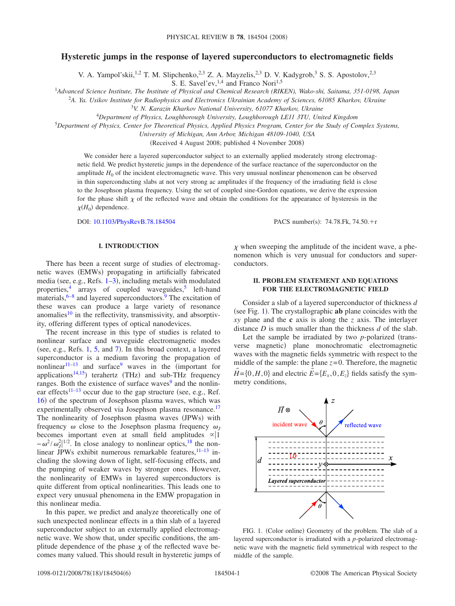# **Hysteretic jumps in the response of layered superconductors to electromagnetic fields**

V. A. Yampol'skii,<sup>1,2</sup> T. M. Slipchenko,<sup>2,3</sup> Z. A. Mayzelis,<sup>2,3</sup> D. V. Kadygrob,<sup>3</sup> S. S. Apostolov,<sup>2,3</sup>

S. E. Savel'ev,  $^{1,4}$  and Franco Nori<sup>1,5</sup>

1 *Advanced Science Institute, The Institute of Physical and Chemical Research (RIKEN), Wako-shi, Saitama, 351-0198, Japan*

<sup>2</sup>*A. Ya. Usikov Institute for Radiophysics and Electronics Ukrainian Academy of Sciences, 61085 Kharkov, Ukraine*

<sup>3</sup>*V. N. Karazin Kharkov National University, 61077 Kharkov, Ukraine*

4 *Department of Physics, Loughborough University, Loughborough LE11 3TU, United Kingdom*

<sup>5</sup>*Department of Physics, Center for Theoretical Physics, Applied Physics Program, Center for the Study of Complex Systems,*

*University of Michigan, Ann Arbor, Michigan 48109-1040, USA*

(Received 4 August 2008; published 4 November 2008)

We consider here a layered superconductor subject to an externally applied moderately strong electromagnetic field. We predict hysteretic jumps in the dependence of the surface reactance of the superconductor on the amplitude  $H_0$  of the incident electromagnetic wave. This very unusual nonlinear phenomenon can be observed in thin superconducting slabs at not very strong ac amplitudes if the frequency of the irradiating field is close to the Josephson plasma frequency. Using the set of coupled sine-Gordon equations, we derive the expression for the phase shift  $\chi$  of the reflected wave and obtain the conditions for the appearance of hysteresis in the  $\chi(H_0)$  dependence.

DOI: [10.1103/PhysRevB.78.184504](http://dx.doi.org/10.1103/PhysRevB.78.184504)

 $: 74.78$ .Fk,  $74.50.+r$ 

## **I. INTRODUCTION**

There has been a recent surge of studies of electromagnetic waves (EMWs) propagating in artificially fabricated media (see, e.g., Refs.  $1-3$  $1-3$ ), including metals with modulated properties, $\frac{4}{3}$  arrays of coupled waveguides, $\frac{5}{3}$  left-hand materials,  $6-8$  and layered superconductors.<sup>9</sup> The excitation of these waves can produce a large variety of resonance anomalies<sup>10</sup> in the reflectivity, transmissivity, and absorptivity, offering different types of optical nanodevices.

The recent increase in this type of studies is related to nonlinear surface and waveguide electromagnetic modes (see, e.g., Refs.  $1, 5$  $1, 5$ , and  $7$ ). In this broad context, a layered superconductor is a medium favoring the propagation of nonlinear $11-13$  and surface<sup>9</sup> waves in the (important for applications<sup>14[,15](#page-5-3)</sup>) terahertz (THz) and sub-THz frequency ranges. Both the existence of surface waves<sup>9</sup> and the nonlin-ear effects<sup>11[–13](#page-5-1)</sup> occur due to the gap structure (see, e.g., Ref. [16](#page-5-4)) of the spectrum of Josephson plasma waves, which was experimentally observed via Josephson plasma resonance.<sup>17</sup> The nonlinearity of Josephson plasma waves (JPWs) with frequency  $\omega$  close to the Josephson plasma frequency  $\omega$ <sub>*I*</sub> becomes important even at small field amplitudes  $\infty$ |1  $-\omega^2/\omega_f^{2/1/2}$ . In close analogy to nonlinear optics,<sup>18</sup> the nonlinear JPWs exhibit numerous remarkable features, $11-13$  $11-13$  including the slowing down of light, self-focusing effects, and the pumping of weaker waves by stronger ones. However, the nonlinearity of EMWs in layered superconductors is quite different from optical nonlinearities. This leads one to expect very unusual phenomena in the EMW propagation in this nonlinear media.

In this paper, we predict and analyze theoretically one of such unexpected nonlinear effects in a thin slab of a layered superconductor subject to an externally applied electromagnetic wave. We show that, under specific conditions, the amplitude dependence of the phase  $\chi$  of the reflected wave becomes many valued. This should result in hysteretic jumps of  $\chi$  when sweeping the amplitude of the incident wave, a phenomenon which is very unusual for conductors and superconductors.

## **II. PROBLEM STATEMENT AND EQUATIONS FOR THE ELECTROMAGNETIC FIELD**

Consider a slab of a layered superconductor of thickness *d* (see Fig. [1](#page-0-0)). The crystallographic **ab** plane coincides with the *xy* plane and the **c** axis is along the *z* axis. The interlayer distance *D* is much smaller than the thickness *d* of the slab.

Let the sample be irradiated by two *p*-polarized (transverse magnetic) plane monochromatic electromagnetic waves with the magnetic fields symmetric with respect to the middle of the sample: the plane  $z=0$ . Therefore, the magnetic  $\vec{H} = \{0, H, 0\}$  and electric  $\vec{E} = \{E_x, 0, E_z\}$  fields satisfy the symmetry conditions,

<span id="page-0-0"></span>

FIG. 1. (Color online) Geometry of the problem. The slab of a layered superconductor is irradiated with a *p*-polarized electromagnetic wave with the magnetic field symmetrical with respect to the middle of the sample.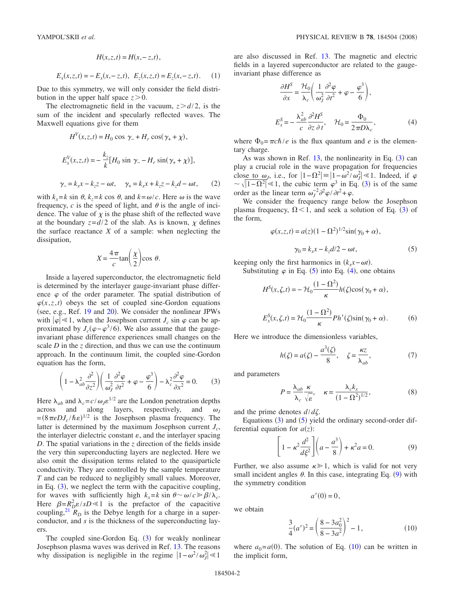$$
H(x, z, t) = H(x, -z, t),
$$
  

$$
E_x(x, z, t) = -E_x(x, -z, t), \quad E_z(x, z, t) = E_z(x, -z, t).
$$
 (1)

Due to this symmetry, we will only consider the field distribution in the upper half space  $z > 0$ .

The electromagnetic field in the vacuum,  $z > d/2$ , is the sum of the incident and specularly reflected waves. The Maxwell equations give for them

<span id="page-1-5"></span>
$$
H^{V}(x, z, t) = H_0 \cos \gamma_{-} + H_r \cos(\gamma_{+} + \chi),
$$
  
\n
$$
E_x^{V}(x, z, t) = -\frac{k_z}{k} [H_0 \sin \gamma_{-} - H_r \sin(\gamma_{+} + \chi)],
$$
  
\n
$$
\gamma_{-} = k_x x - k_z z - \omega t, \quad \gamma_{+} = k_x x + k_z z - k_z d - \omega t, \quad (2)
$$

with  $k_x = k \sin \theta$ ,  $k_z = k \cos \theta$ , and  $k = \omega/c$ . Here  $\omega$  is the wave frequency,  $c$  is the speed of light, and  $\theta$  is the angle of incidence. The value of  $\chi$  is the phase shift of the reflected wave at the boundary  $z = d/2$  of the slab. As is known,  $\chi$  defines the surface reactance  $X$  of a sample: when neglecting the dissipation,

$$
X = \frac{4\pi}{c} \tan\left(\frac{\chi}{2}\right) \cos \theta.
$$

Inside a layered superconductor, the electromagnetic field is determined by the interlayer gauge-invariant phase difference  $\varphi$  of the order parameter. The spatial distribution of  $\varphi(x, z, t)$  obeys the set of coupled sine-Gordon equations (see, e.g., Ref.  $19$  and  $20$ ). We consider the nonlinear JPWs with  $|\varphi| \ll 1$ , when the Josephson current  $J_c \sin \varphi$  can be approximated by  $J_c(\varphi - \varphi^3/6)$ . We also assume that the gaugeinvariant phase difference experiences small changes on the scale *D* in the *z* direction, and thus we can use the continuum approach. In the continuum limit, the coupled sine-Gordon equation has the form,

$$
\left(1 - \lambda_{ab}^2 \frac{\partial^2}{\partial z^2}\right) \left(\frac{1}{\omega_J^2} \frac{\partial^2 \varphi}{\partial t^2} + \varphi - \frac{\varphi^3}{6}\right) - \lambda_c^2 \frac{\partial^2 \varphi}{\partial x^2} = 0.
$$
 (3)

<span id="page-1-0"></span>Here  $\lambda_{ab}$  and  $\lambda_c = c/\omega_J \epsilon^{1/2}$  are the London penetration depths across and along layers, respectively, and  $\omega_I$  $=(8\pi e D J_c/\hbar \varepsilon)^{1/2}$  is the Josephson plasma frequency. The latter is determined by the maximum Josephson current  $J_c$ , the interlayer dielectric constant  $\varepsilon$ , and the interlayer spacing *D*. The spatial variations in the *z* direction of the fields inside the very thin superconducting layers are neglected. Here we also omit the dissipation terms related to the quasiparticle conductivity. They are controlled by the sample temperature *T* and can be reduced to negligibly small values. Moreover, in Eq.  $(3)$  $(3)$  $(3)$ , we neglect the term with the capacitive coupling, for waves with sufficiently high  $k_x = k \sin \theta \sim \omega/c \gg \beta/\lambda_c$ . Here  $\beta = R_D^2 \varepsilon / sD \ll 1$  is the prefactor of the capacitive coupling,<sup>21</sup>  $\overline{R}_D$  is the Debye length for a charge in a superconductor, and *s* is the thickness of the superconducting layers.

The coupled sine-Gordon Eq.  $(3)$  $(3)$  $(3)$  for weakly nonlinear Josephson plasma waves was derived in Ref. [13.](#page-5-1) The reasons why dissipation is negligible in the regime  $|1 - \omega^2 / \omega_j^2| \ll 1$ 

<span id="page-1-2"></span>are also discussed in Ref. [13.](#page-5-1) The magnetic and electric fields in a layered superconductor are related to the gaugeinvariant phase difference as

$$
\frac{\partial H^S}{\partial x} = \frac{\mathcal{H}_0}{\lambda_c} \left( \frac{1}{\omega_J^2} \frac{\partial^2 \varphi}{\partial t^2} + \varphi - \frac{\varphi^3}{6} \right),
$$
  

$$
E_x^S = -\frac{\lambda_{ab}^2}{c} \frac{\partial^2 H^S}{\partial z \partial t}, \quad \mathcal{H}_0 = \frac{\Phi_0}{2\pi D \lambda_c},
$$
 (4)

where  $\Phi_0 = \pi c \hbar / e$  is the flux quantum and *e* is the elementary charge.

As was shown in Ref.  $13$  $13$ , the nonlinearity in Eq.  $(3)$  can play a crucial role in the wave propagation for frequencies close to  $\omega_j$ , i.e., for  $|1-\Omega^2| = |1-\omega^2/\omega_j^2| \le 1$ . Indeed, if  $\varphi$  $\sim \sqrt{|1-\Omega^2|} \le 1$ , the cubic term  $\varphi^3$  $\varphi^3$  in Eq. (3) is of the same order as the linear term  $\omega_J^{-2} \partial^2 \varphi / \partial t^2 + \varphi$ .

We consider the frequency range below the Josephson plasma frequency,  $\Omega$  < 1, and seek a solution of Eq. ([3](#page-1-0)) of the form,

$$
\varphi(x, z, t) = a(z)(1 - \Omega^2)^{1/2} \sin(\gamma_0 + \alpha),
$$
  

$$
\gamma_0 = k_x x - k_z d/2 - \omega t,
$$
 (5)

<span id="page-1-1"></span>keeping only the first harmonics in  $(k_x x - \omega t)$ .

Substituting  $\varphi$  in Eq. ([5](#page-1-1)) into Eq. ([4](#page-1-2)), one obtains

$$
H^{S}(x,\zeta,t) = -\mathcal{H}_{0} \frac{(1-\Omega^{2})}{\kappa} h(\zeta) \cos(\gamma_{0} + \alpha),
$$
  

$$
E_{x}^{S}(x,\zeta,t) = \mathcal{H}_{0} \frac{(1-\Omega^{2})}{\kappa} Ph'(\zeta) \sin(\gamma_{0} + \alpha).
$$
 (6)

Here we introduce the dimensionless variables,

$$
h(\zeta) = a(\zeta) - \frac{a^3(\zeta)}{8}, \quad \zeta = \frac{\kappa z}{\lambda_{ab}},\tag{7}
$$

<span id="page-1-6"></span>and parameters

$$
P = \frac{\lambda_{ab}}{\lambda_c} \frac{\kappa}{\sqrt{\varepsilon}}, \quad \kappa = \frac{\lambda_c k_x}{(1 - \Omega^2)^{1/2}}, \tag{8}
$$

and the prime denotes  $d/d\zeta$ .

Equations  $(3)$  $(3)$  $(3)$  and  $(5)$  $(5)$  $(5)$  yield the ordinary second-order differential equation for  $a(z)$ :

$$
\left[1 - \kappa^2 \frac{d^2}{d\xi^2}\right] \left(a - \frac{a^3}{8}\right) + \kappa^2 a = 0.
$$
 (9)

<span id="page-1-3"></span>Further, we also assume  $\kappa \geq 1$ , which is valid for not very small incident angles  $\theta$ . In this case, integrating Eq. ([9](#page-1-3)) with the symmetry condition

 $a'(0) = 0,$ 

we obtain

$$
\frac{3}{4}(a')^2 = \left(\frac{8 - 3a_0^2}{8 - 3a^2}\right)^2 - 1,\tag{10}
$$

<span id="page-1-4"></span>where  $a_0 = a(0)$ . The solution of Eq. ([10](#page-1-4)) can be written in the implicit form,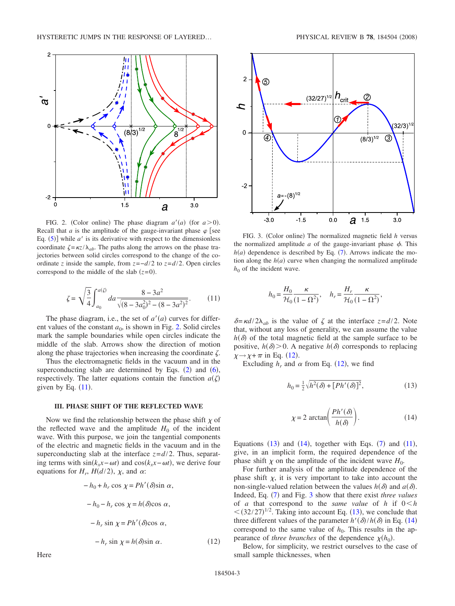<span id="page-2-0"></span>

FIG. 2. (Color online) The phase diagram  $a'(a)$  (for  $a > 0$ ). Recall that *a* is the amplitude of the gauge-invariant phase  $\varphi$  [see Eq.  $(5)$  $(5)$  $(5)$ ] while  $a'$  is its derivative with respect to the dimensionless coordinate  $\zeta = \kappa z / \lambda_{ab}$ . The paths along the arrows on the phase trajectories between solid circles correspond to the change of the coordinate *z* inside the sample, from  $z = -d/2$  to  $z = d/2$ . Open circles correspond to the middle of the slab  $(z=0)$ .

$$
\zeta = \sqrt{\frac{3}{4}} \int_{a_0}^{a(\zeta)} da \frac{8 - 3a^2}{\sqrt{(8 - 3a_0^2)^2 - (8 - 3a^2)^2}}.
$$
 (11)

<span id="page-2-1"></span>The phase diagram, i.e., the set of  $a'(a)$  curves for different values of the constant  $a_0$ , is shown in Fig. [2.](#page-2-0) Solid circles mark the sample boundaries while open circles indicate the middle of the slab. Arrows show the direction of motion along the phase trajectories when increasing the coordinate  $\zeta$ .

Thus the electromagnetic fields in the vacuum and in the superconducting slab are determined by Eqs.  $(2)$  $(2)$  $(2)$  and  $(6)$  $(6)$  $(6)$ , respectively. The latter equations contain the function  $a(\zeta)$ given by Eq.  $(11)$  $(11)$  $(11)$ .

### **III. PHASE SHIFT OF THE REFLECTED WAVE**

Now we find the relationship between the phase shift  $\chi$  of the reflected wave and the amplitude  $H_0$  of the incident wave. With this purpose, we join the tangential components of the electric and magnetic fields in the vacuum and in the superconducting slab at the interface  $z = d/2$ . Thus, separating terms with  $sin(k_x x - \omega t)$  and  $cos(k_x x - \omega t)$ , we derive four equations for  $H_r$ ,  $H(d/2)$ ,  $\chi$ , and  $\alpha$ :

<span id="page-2-2"></span>
$$
-h_0 + h_r \cos \chi = Ph'(\delta) \sin \alpha,
$$
  

$$
-h_0 - h_r \cos \chi = h(\delta) \cos \alpha,
$$
  

$$
-h_r \sin \chi = Ph'(\delta) \cos \alpha,
$$
  

$$
-h_r \sin \chi = h(\delta) \sin \alpha.
$$
 (12)

<span id="page-2-5"></span>

FIG. 3. (Color online) The normalized magnetic field *h* versus the normalized amplitude  $a$  of the gauge-invariant phase  $\phi$ . This  $h(a)$  dependence is described by Eq.  $(7)$  $(7)$  $(7)$ . Arrows indicate the motion along the  $h(a)$  curve when changing the normalized amplitude  $h_0$  of the incident wave.

$$
h_0 = \frac{H_0}{\mathcal{H}_0} \frac{\kappa}{(1 - \Omega^2)}, \quad h_r = \frac{H_r}{\mathcal{H}_0} \frac{\kappa}{(1 - \Omega^2)},
$$

 $\delta = \frac{\kappa d}{2\lambda_{ab}}$  is the value of  $\zeta$  at the interface  $z = d/2$ . Note that, without any loss of generality, we can assume the value  $h(\delta)$  of the total magnetic field at the sample surface to be positive,  $h(\delta) > 0$ . A negative  $h(\delta)$  corresponds to replacing  $\chi \rightarrow \chi + \pi$  in Eq. ([12](#page-2-2)).

<span id="page-2-3"></span>Excluding  $h_r$  and  $\alpha$  from Eq. ([12](#page-2-2)), we find

$$
h_0 = \frac{1}{2} \sqrt{h^2(\delta) + [Ph'(\delta)]^2},\tag{13}
$$

$$
\chi = 2 \arctan\left(\frac{Ph'(\delta)}{h(\delta)}\right). \tag{14}
$$

<span id="page-2-4"></span>Equations  $(13)$  $(13)$  $(13)$  and  $(14)$  $(14)$  $(14)$ , together with Eqs.  $(7)$  $(7)$  $(7)$  and  $(11)$  $(11)$  $(11)$ , give, in an implicit form, the required dependence of the phase shift  $\chi$  on the amplitude of the incident wave  $H_0$ .

For further analysis of the amplitude dependence of the phase shift  $\chi$ , it is very important to take into account the non-single-valued relation between the values  $h(\delta)$  and  $a(\delta)$ . Indeed, Eq. ([7](#page-1-6)) and Fig. [3](#page-2-5) show that there exist *three values* of *a* that correspond to the *same value* of *h* if  $0 \le h$  $\leq (32/27)^{1/2}$ . Taking into account Eq. ([13](#page-2-3)), we conclude that three different values of the parameter  $h'(\delta)/h(\delta)$  in Eq. ([14](#page-2-4)) correspond to the same value of  $h_0$ . This results in the appearance of *three branches* of the dependence  $\chi(h_0)$ .

Below, for simplicity, we restrict ourselves to the case of small sample thicknesses, when

Here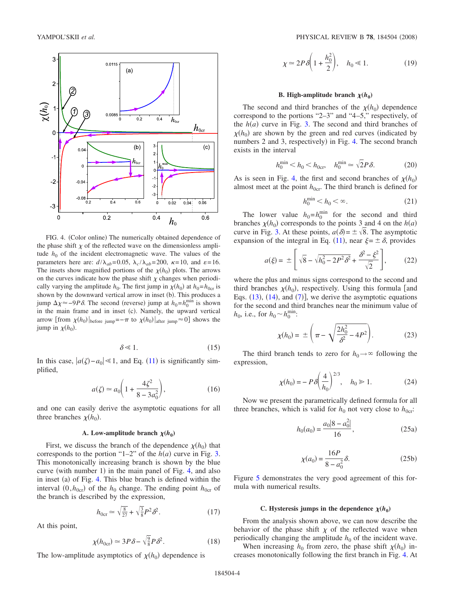<span id="page-3-0"></span>

FIG. 4. (Color online) The numerically obtained dependence of the phase shift  $\chi$  of the reflected wave on the dimensionless amplitude  $h_0$  of the incident electromagnetic wave. The values of the parameters here are:  $d/\lambda_{ab} = 0.05$ ,  $\lambda_c/\lambda_{ab} = 200$ ,  $\kappa = 10$ , and  $\varepsilon = 16$ . The insets show magnified portions of the  $\chi(h_0)$  plots. The arrows on the curves indicate how the phase shift  $\chi$  changes when periodically varying the amplitude  $h_0$ . The first jump in  $\chi(h_0)$  at  $h_0 = h_{0cr}$  is shown by the downward vertical arrow in inset (b). This produces a jump  $\Delta \chi$  ≈ −9*P* $\delta$ . The second (reverse) jump at  $h_0 = h_0^{\text{min}}$  is shown in the main frame and in inset (c). Namely, the upward vertical arrow [from  $\chi(h_0)|_{\text{before jump}} = -\pi$  to  $\chi(h_0)|_{\text{after jump}} \approx 0$ ] shows the jump in  $\chi(h_0)$ .

$$
\delta \ll 1. \tag{15}
$$

In this case,  $|a(\zeta) - a_0| \le 1$ , and Eq. ([11](#page-2-1)) is significantly simplified,

$$
a(\zeta) \simeq a_0 \bigg( 1 + \frac{4\zeta^2}{8 - 3a_0^2} \bigg),\tag{16}
$$

and one can easily derive the asymptotic equations for all three branches  $\chi(h_0)$ .

### **A.** Low-amplitude branch  $\chi(h_0)$

First, we discuss the branch of the dependence  $\chi(h_0)$  that corresponds to the portion "1–2" of the  $h(a)$  curve in Fig. [3.](#page-2-5) This monotonically increasing branch is shown by the blue curve (with number 1) in the main panel of Fig. [4,](#page-3-0) and also in inset (a) of Fig. [4.](#page-3-0) This blue branch is defined within the interval  $(0, h_{0cr})$  of the  $h_0$  change. The ending point  $h_{0cr}$  of the branch is described by the expression,

$$
h_{0cr} \simeq \sqrt{\frac{8}{27}} + \sqrt{\frac{3}{8}} P^2 \delta^2. \tag{17}
$$

At this point,

$$
\chi(h_{0\text{cr}}) \simeq 3P\delta - \sqrt{\frac{9}{8}}P\delta^2. \tag{18}
$$

The low-amplitude asymptotics of  $\chi(h_0)$  dependence is

$$
\chi \simeq 2P\delta\bigg(1 + \frac{h_0^2}{2}\bigg), \quad h_0 \ll 1. \tag{19}
$$

#### **B.** High-amplitude branch  $\chi(h_0)$

The second and third branches of the  $\chi(h_0)$  dependence correspond to the portions "2–3" and "4–5," respectively, of the  $h(a)$  curve in Fig. [3.](#page-2-5) The second and third branches of  $\chi(h_0)$  are shown by the green and red curves (indicated by numbers 2 and 3, respectively) in Fig. [4.](#page-3-0) The second branch exists in the interval

$$
h_0^{\min} < h_0 < h_{0cr}, \quad h_0^{\min} \simeq \sqrt{2} P \delta. \tag{20}
$$

As is seen in Fig. [4,](#page-3-0) the first and second branches of  $\chi(h_0)$ almost meet at the point  $h_{0cr}$ . The third branch is defined for

$$
h_0^{\min} < h_0 < \infty. \tag{21}
$$

The lower value  $h_0 = h_0^{\text{min}}$  for the second and third branches  $\chi(h_0)$  corresponds to the points 3 and 4 on the  $h(a)$ curve in Fig. [3.](#page-2-5) At these points,  $a(\delta) = \pm \sqrt{8}$ . The asymptotic expansion of the integral in Eq. ([11](#page-2-1)), near  $\xi = \pm \delta$ , provides

$$
a(\xi) = \pm \left[ \sqrt{8} - \sqrt{h_0^2 - 2P^2 \delta^2} + \frac{\delta^2 - \xi^2}{\sqrt{2}} \right],
$$
 (22)

where the plus and minus signs correspond to the second and third branches  $\chi(h_0)$ , respectively. Using this formula [and Eqs.  $(13)$  $(13)$  $(13)$ ,  $(14)$  $(14)$  $(14)$ , and  $(7)$  $(7)$  $(7)$ ], we derive the asymptotic equations for the second and third branches near the minimum value of  $h_0$ , i.e., for  $h_0 \sim h_0^{\min}$ :

$$
\chi(h_0) = \pm \left(\pi - \sqrt{\frac{2h_0^2}{\delta^2} - 4P^2}\right).
$$
 (23)

The third branch tends to zero for  $h_0 \rightarrow \infty$  following the expression,

$$
\chi(h_0) = -P \delta \left(\frac{4}{h_0}\right)^{2/3}, \quad h_0 \gg 1.
$$
 (24)

<span id="page-3-1"></span>Now we present the parametrically defined formula for all three branches, which is valid for  $h_0$  not very close to  $h_{0cr}$ :

$$
h_0(a_0) = \frac{a_0|8 - a_0^2|}{16},
$$
\n(25a)

$$
\chi(a_0) = \frac{16P}{8 - a_0^2} \delta.
$$
 (25b)

Figure [5](#page-4-9) demonstrates the very good agreement of this formula with numerical results.

#### C. Hysteresis jumps in the dependence  $\chi(h_0)$

From the analysis shown above, we can now describe the behavior of the phase shift  $\chi$  of the reflected wave when periodically changing the amplitude  $h_0$  of the incident wave.

When increasing  $h_0$  from zero, the phase shift  $\chi(h_0)$  increases monotonically following the first branch in Fig. [4.](#page-3-0) At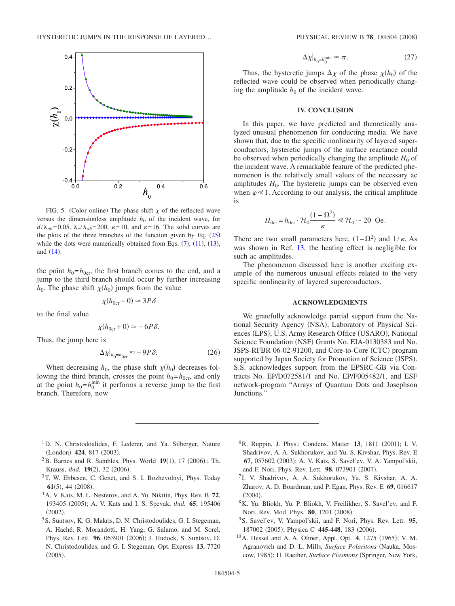<span id="page-4-9"></span>

FIG. 5. (Color online) The phase shift  $\chi$  of the reflected wave versus the dimensionless amplitude  $h_0$  of the incident wave, for  $d/\lambda_{ab} = 0.05$ ,  $\lambda_c/\lambda_{ab} = 200$ ,  $\kappa = 10$ , and  $\varepsilon = 16$ . The solid curves are the plots of the three branches of the function given by Eq.  $(25)$  $(25)$  $(25)$ while the dots were numerically obtained from Eqs.  $(7)$  $(7)$  $(7)$ ,  $(11)$  $(11)$  $(11)$ ,  $(13)$  $(13)$  $(13)$ , and  $(14)$  $(14)$  $(14)$ .

the point  $h_0 = h_{0cr}$ , the first branch comes to the end, and a jump to the third branch should occur by further increasing  $h_0$ . The phase shift  $\chi(h_0)$  jumps from the value

$$
\chi(h_{0cr} - 0) \simeq 3P\delta
$$

to the final value

$$
\chi(h_{0\text{cr}}+0) \simeq -6P\delta.
$$

Thus, the jump here is

$$
\Delta \chi|_{h_0 = h_{0cr}} \approx -9P\delta. \tag{26}
$$

When decreasing  $h_0$ , the phase shift  $\chi(h_0)$  decreases following the third branch, crosses the point  $h_0 = h_{0cr}$ , and only at the point  $h_0 = h_0^{\text{min}}$  it performs a reverse jump to the first branch. Therefore, now

$$
\Delta \chi|_{h_0 = h_0^{\min}} \approx \pi. \tag{27}
$$

Thus, the hysteretic jumps  $\Delta \chi$  of the phase  $\chi(h_0)$  of the reflected wave could be observed when periodically changing the amplitude  $h_0$  of the incident wave.

### **IV. CONCLUSION**

In this paper, we have predicted and theoretically analyzed unusual phenomenon for conducting media. We have shown that, due to the specific nonlinearity of layered superconductors, hysteretic jumps of the surface reactance could be observed when periodically changing the amplitude  $H_0$  of the incident wave. A remarkable feature of the predicted phenomenon is the relatively small values of the necessary ac amplitudes  $H_0$ . The hysteretic jumps can be observed even when  $\varphi \ll 1$ . According to our analysis, the critical amplitude is

$$
H_{0\text{cr}} = h_{0\text{cr}} \cdot \mathcal{H}_0 \frac{(1 - \Omega^2)}{\kappa} \ll \mathcal{H}_0 \sim 20 \text{ Oe.}
$$

There are two small parameters here,  $(1 - \Omega^2)$  and  $1/\kappa$ . As was shown in Ref. [13,](#page-5-1) the heating effect is negligible for such ac amplitudes.

The phenomenon discussed here is another exciting example of the numerous unusual effects related to the very specific nonlinearity of layered superconductors.

### **ACKNOWLEDGMENTS**

We gratefully acknowledge partial support from the National Security Agency (NSA), Laboratory of Physical Sciences (LPS), U.S. Army Research Office (USARO), National Science Foundation (NSF) Grants No. EIA-0130383 and No. JSPS-RFBR 06-02-91200, and Core-to-Core (CTC) program supported by Japan Society for Promotion of Science (JSPS). S.S. acknowledges support from the EPSRC-GB via Contracts No. EP/D072581/1 and No. EP/F005482/1, and ESF network-program "Arrays of Quantum Dots and Josephson Junctions."

- <sup>1</sup>D. N. Christodoulides, F. Lederer, and Ya. Silberger, Nature (London) 424, 817 (2003).
- <span id="page-4-0"></span> $^{2}$ B. Barnes and R. Sambles, Phys. World 19(1), 17 (2006).; Th. Krauss, *ibid.* **19**(2), 32 (2006).
- <sup>3</sup>T. W. Ebbesen, C. Genet, and S. I. Bozhevolnyi, Phys. Today **61**(5), 44 (2008).
- <span id="page-4-2"></span><span id="page-4-1"></span>4A. V. Kats, M. L. Nesterov, and A. Yu. Nikitin, Phys. Rev. B **72**, 193405 (2005); A. V. Kats and I. S. Spevak, *ibid.* 65, 195406  $(2002).$
- <span id="page-4-3"></span>5S. Suntsov, K. G. Makris, D. N. Christodoulides, G. I. Stegeman, A. Haché, R. Morandotti, H. Yang, G. Salamo, and M. Sorel, Phys. Rev. Lett. 96, 063901 (2006); J. Hudock, S. Suntsov, D. N. Christodoulides, and G. I. Stegeman, Opt. Express **13**, 7720  $(2005).$
- <span id="page-4-4"></span><sup>6</sup> R. Ruppin, J. Phys.: Condens. Matter 13, 1811 (2001); I. V. Shadrivov, A. A. Sukhorukov, and Yu. S. Kivshar, Phys. Rev. E 67, 057602 (2003); A. V. Kats, S. Savel'ev, V. A. Yampol'skii, and F. Nori, Phys. Rev. Lett. 98, 073901 (2007).
- <span id="page-4-8"></span><sup>7</sup> I. V. Shadrivov, A. A. Sukhorukov, Yu. S. Kivshar, A. A. Zharov, A. D. Boardman, and P. Egan, Phys. Rev. E **69**, 016617  $(2004).$
- 8K. Yu. Bliokh, Yu. P. Bliokh, V. Freilikher, S. Savel'ev, and F. Nori, Rev. Mod. Phys. **80**, 1201 (2008).
- <span id="page-4-5"></span>9S. Savel'ev, V. Yampol'skii, and F. Nori, Phys. Rev. Lett. **95**, 187002 (2005); Physica C 445-448, 183 (2006).
- <span id="page-4-7"></span><span id="page-4-6"></span><sup>10</sup> A. Hessel and A. A. Oliner, Appl. Opt. **4**, 1275 (1965); V. M. Agranovich and D. L. Mills, *Surface Polaritons* (Nauka, Moscow, 1985); H. Raether, *Surface Plasmons* (Springer, New York,